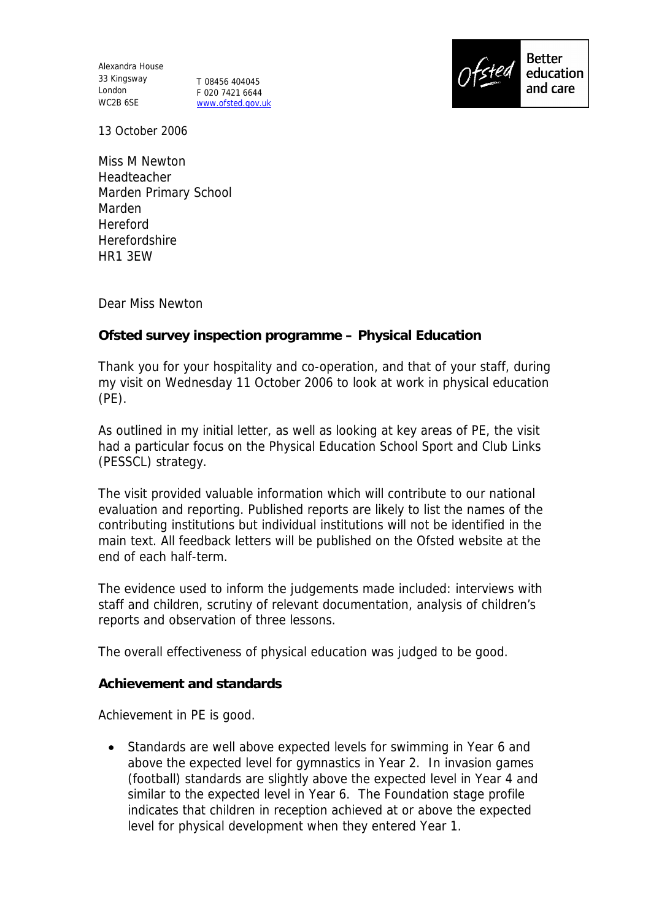Alexandra House 33 Kingsway T 08456 404045 London WC2B 6SE

F 020 7421 6644 www.ofsted.gov.uk



13 October 2006

Miss M Newton Headteacher Marden Primary School Marden Hereford Herefordshire HR1 3EW

Dear Miss Newton

**Ofsted survey inspection programme – Physical Education**

Thank you for your hospitality and co-operation, and that of your staff, during my visit on Wednesday 11 October 2006 to look at work in physical education (PE).

As outlined in my initial letter, as well as looking at key areas of PE, the visit had a particular focus on the Physical Education School Sport and Club Links (PESSCL) strategy.

The visit provided valuable information which will contribute to our national evaluation and reporting. Published reports are likely to list the names of the contributing institutions but individual institutions will not be identified in the main text. All feedback letters will be published on the Ofsted website at the end of each half-term.

The evidence used to inform the judgements made included: interviews with staff and children, scrutiny of relevant documentation, analysis of children's reports and observation of three lessons.

The overall effectiveness of physical education was judged to be good.

**Achievement and standards**

Achievement in PE is good.

• Standards are well above expected levels for swimming in Year 6 and above the expected level for gymnastics in Year 2. In invasion games (football) standards are slightly above the expected level in Year 4 and similar to the expected level in Year 6. The Foundation stage profile indicates that children in reception achieved at or above the expected level for physical development when they entered Year 1.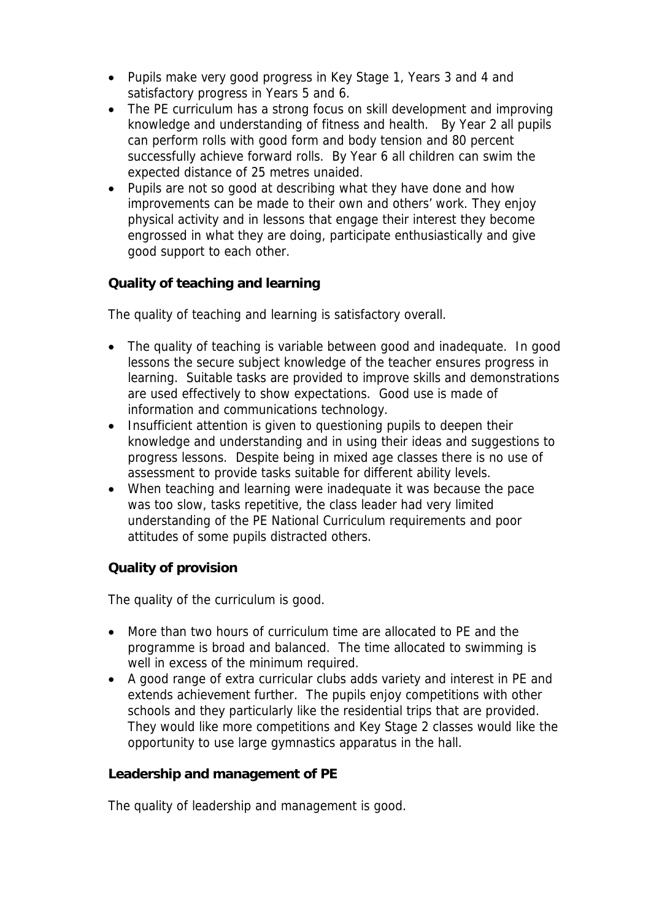- Pupils make very good progress in Key Stage 1, Years 3 and 4 and satisfactory progress in Years 5 and 6.
- The PE curriculum has a strong focus on skill development and improving knowledge and understanding of fitness and health. By Year 2 all pupils can perform rolls with good form and body tension and 80 percent successfully achieve forward rolls. By Year 6 all children can swim the expected distance of 25 metres unaided.
- Pupils are not so good at describing what they have done and how improvements can be made to their own and others' work. They enjoy physical activity and in lessons that engage their interest they become engrossed in what they are doing, participate enthusiastically and give good support to each other.

**Quality of teaching and learning**

The quality of teaching and learning is satisfactory overall.

- The quality of teaching is variable between good and inadequate. In good lessons the secure subject knowledge of the teacher ensures progress in learning. Suitable tasks are provided to improve skills and demonstrations are used effectively to show expectations. Good use is made of information and communications technology.
- Insufficient attention is given to questioning pupils to deepen their knowledge and understanding and in using their ideas and suggestions to progress lessons. Despite being in mixed age classes there is no use of assessment to provide tasks suitable for different ability levels.
- When teaching and learning were inadequate it was because the pace was too slow, tasks repetitive, the class leader had very limited understanding of the PE National Curriculum requirements and poor attitudes of some pupils distracted others.

**Quality of provision**

The quality of the curriculum is good.

- More than two hours of curriculum time are allocated to PE and the programme is broad and balanced. The time allocated to swimming is well in excess of the minimum required.
- A good range of extra curricular clubs adds variety and interest in PE and extends achievement further. The pupils enjoy competitions with other schools and they particularly like the residential trips that are provided. They would like more competitions and Key Stage 2 classes would like the opportunity to use large gymnastics apparatus in the hall.

**Leadership and management of PE**

The quality of leadership and management is good.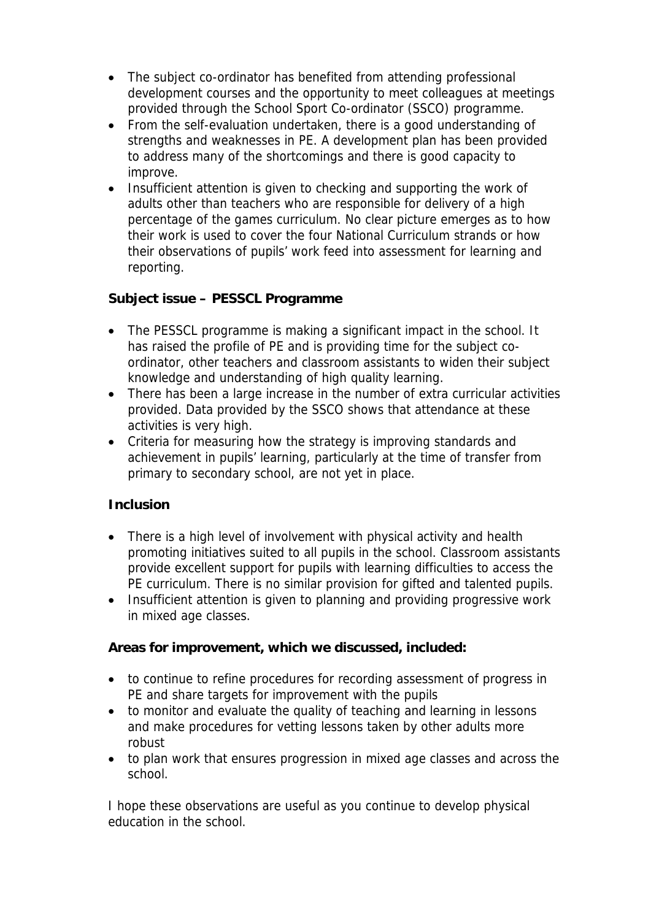- The subject co-ordinator has benefited from attending professional development courses and the opportunity to meet colleagues at meetings provided through the School Sport Co-ordinator (SSCO) programme.
- From the self-evaluation undertaken, there is a good understanding of strengths and weaknesses in PE. A development plan has been provided to address many of the shortcomings and there is good capacity to improve.
- Insufficient attention is given to checking and supporting the work of adults other than teachers who are responsible for delivery of a high percentage of the games curriculum. No clear picture emerges as to how their work is used to cover the four National Curriculum strands or how their observations of pupils' work feed into assessment for learning and reporting.

**Subject issue – PESSCL Programme**

- The PESSCL programme is making a significant impact in the school. It has raised the profile of PE and is providing time for the subject coordinator, other teachers and classroom assistants to widen their subject knowledge and understanding of high quality learning.
- There has been a large increase in the number of extra curricular activities provided. Data provided by the SSCO shows that attendance at these activities is very high.
- Criteria for measuring how the strategy is improving standards and achievement in pupils' learning, particularly at the time of transfer from primary to secondary school, are not yet in place.

## **Inclusion**

- There is a high level of involvement with physical activity and health promoting initiatives suited to all pupils in the school. Classroom assistants provide excellent support for pupils with learning difficulties to access the PE curriculum. There is no similar provision for gifted and talented pupils.
- Insufficient attention is given to planning and providing progressive work in mixed age classes.

**Areas for improvement, which we discussed, included:**

- to continue to refine procedures for recording assessment of progress in PE and share targets for improvement with the pupils
- to monitor and evaluate the quality of teaching and learning in lessons and make procedures for vetting lessons taken by other adults more robust
- to plan work that ensures progression in mixed age classes and across the school.

I hope these observations are useful as you continue to develop physical education in the school.